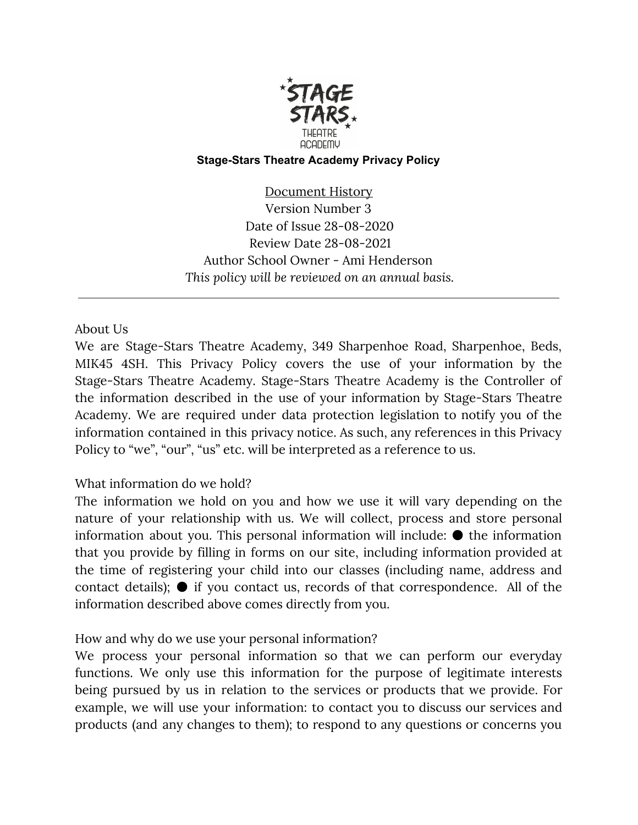

#### **Stage-Stars Theatre Academy Privacy Policy**

Document History Version Number 3 Date of Issue 28-08-2020 Review Date 28-08-2021 Author School Owner - Ami Henderson *This policy will be reviewed on an annual basis.*

#### About Us

We are Stage-Stars Theatre Academy, 349 Sharpenhoe Road, Sharpenhoe, Beds, MIK45 4SH. This Privacy Policy covers the use of your information by the Stage-Stars Theatre Academy. Stage-Stars Theatre Academy is the Controller of the information described in the use of your information by Stage-Stars Theatre Academy. We are required under data protection legislation to notify you of the information contained in this privacy notice. As such, any references in this Privacy Policy to "we", "our", "us" etc. will be interpreted as a reference to us.

### What information do we hold?

The information we hold on you and how we use it will vary depending on the nature of your relationship with us. We will collect, process and store personal information about you. This personal information will include:  $\bullet$  the information that you provide by filling in forms on our site, including information provided at the time of registering your child into our classes (including name, address and contact details);  $\bullet$  if you contact us, records of that correspondence. All of the information described above comes directly from you.

### How and why do we use your personal information?

We process your personal information so that we can perform our everyday functions. We only use this information for the purpose of legitimate interests being pursued by us in relation to the services or products that we provide. For example, we will use your information: to contact you to discuss our services and products (and any changes to them); to respond to any questions or concerns you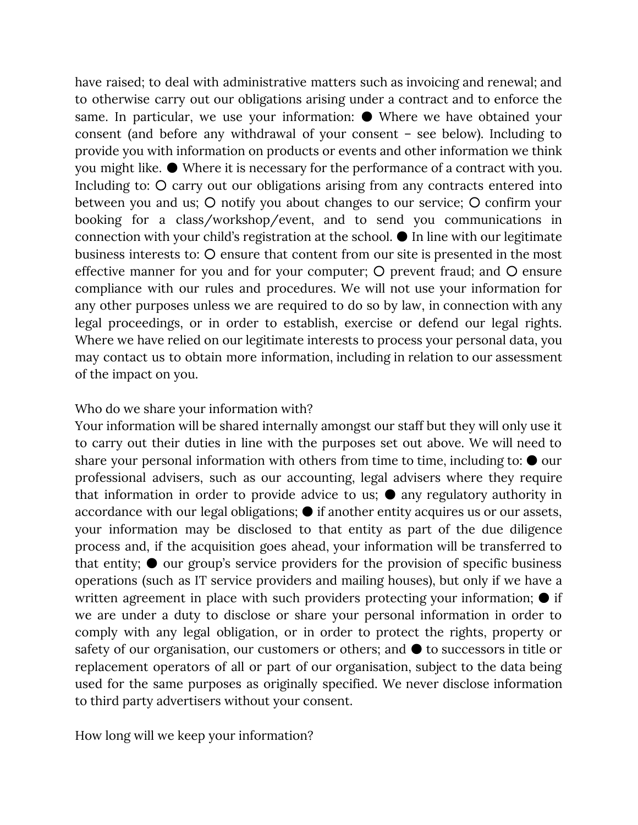have raised; to deal with administrative matters such as invoicing and renewal; and to otherwise carry out our obligations arising under a contract and to enforce the same. In particular, we use your information: ● Where we have obtained your consent (and before any withdrawal of your consent – see below). Including to provide you with information on products or events and other information we think you might like. ● Where it is necessary for the performance of a contract with you. Including to: O carry out our obligations arising from any contracts entered into between you and us; O notify you about changes to our service; O confirm your booking for a class/workshop/event, and to send you communications in connection with your child's registration at the school. ● In line with our legitimate business interests to: O ensure that content from our site is presented in the most effective manner for you and for your computer; O prevent fraud; and O ensure compliance with our rules and procedures. We will not use your information for any other purposes unless we are required to do so by law, in connection with any legal proceedings, or in order to establish, exercise or defend our legal rights. Where we have relied on our legitimate interests to process your personal data, you may contact us to obtain more information, including in relation to our assessment of the impact on you.

## Who do we share your information with?

Your information will be shared internally amongst our staff but they will only use it to carry out their duties in line with the purposes set out above. We will need to share your personal information with others from time to time, including to:  $\bullet$  our professional advisers, such as our accounting, legal advisers where they require that information in order to provide advice to us;  $\bullet$  any regulatory authority in accordance with our legal obligations; ● if another entity acquires us or our assets, your information may be disclosed to that entity as part of the due diligence process and, if the acquisition goes ahead, your information will be transferred to that entity;  $\bullet$  our group's service providers for the provision of specific business operations (such as IT service providers and mailing houses), but only if we have a written agreement in place with such providers protecting your information;  $\bullet$  if we are under a duty to disclose or share your personal information in order to comply with any legal obligation, or in order to protect the rights, property or safety of our organisation, our customers or others; and ● to successors in title or replacement operators of all or part of our organisation, subject to the data being used for the same purposes as originally specified. We never disclose information to third party advertisers without your consent.

How long will we keep your information?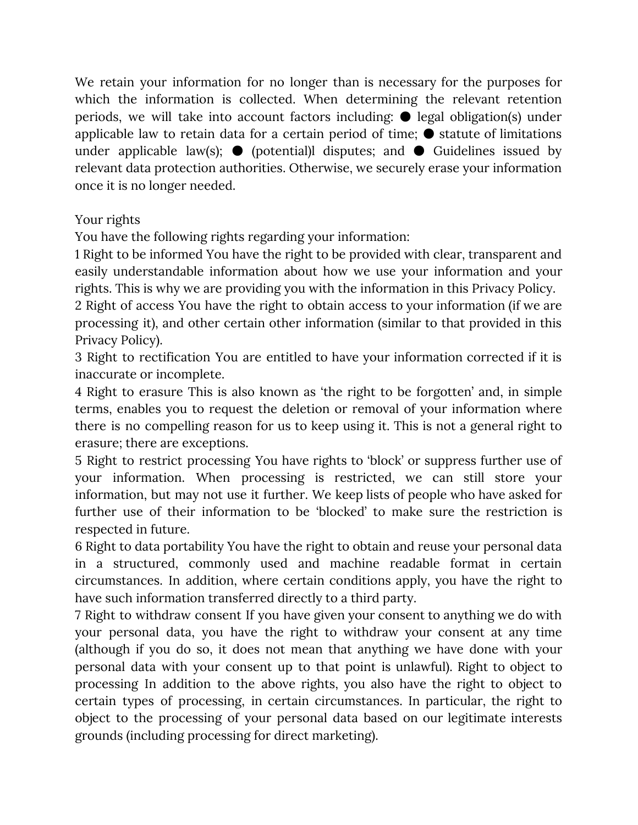We retain your information for no longer than is necessary for the purposes for which the information is collected. When determining the relevant retention periods, we will take into account factors including: ● legal obligation(s) under applicable law to retain data for a certain period of time; ● statute of limitations under applicable law(s);  $\bullet$  (potential)l disputes; and  $\bullet$  Guidelines issued by relevant data protection authorities. Otherwise, we securely erase your information once it is no longer needed.

# Your rights

You have the following rights regarding your information:

1 Right to be informed You have the right to be provided with clear, transparent and easily understandable information about how we use your information and your rights. This is why we are providing you with the information in this Privacy Policy.

2 Right of access You have the right to obtain access to your information (if we are processing it), and other certain other information (similar to that provided in this Privacy Policy).

3 Right to rectification You are entitled to have your information corrected if it is inaccurate or incomplete.

4 Right to erasure This is also known as 'the right to be forgotten' and, in simple terms, enables you to request the deletion or removal of your information where there is no compelling reason for us to keep using it. This is not a general right to erasure; there are exceptions.

5 Right to restrict processing You have rights to 'block' or suppress further use of your information. When processing is restricted, we can still store your information, but may not use it further. We keep lists of people who have asked for further use of their information to be 'blocked' to make sure the restriction is respected in future.

6 Right to data portability You have the right to obtain and reuse your personal data in a structured, commonly used and machine readable format in certain circumstances. In addition, where certain conditions apply, you have the right to have such information transferred directly to a third party.

7 Right to withdraw consent If you have given your consent to anything we do with your personal data, you have the right to withdraw your consent at any time (although if you do so, it does not mean that anything we have done with your personal data with your consent up to that point is unlawful). Right to object to processing In addition to the above rights, you also have the right to object to certain types of processing, in certain circumstances. In particular, the right to object to the processing of your personal data based on our legitimate interests grounds (including processing for direct marketing).